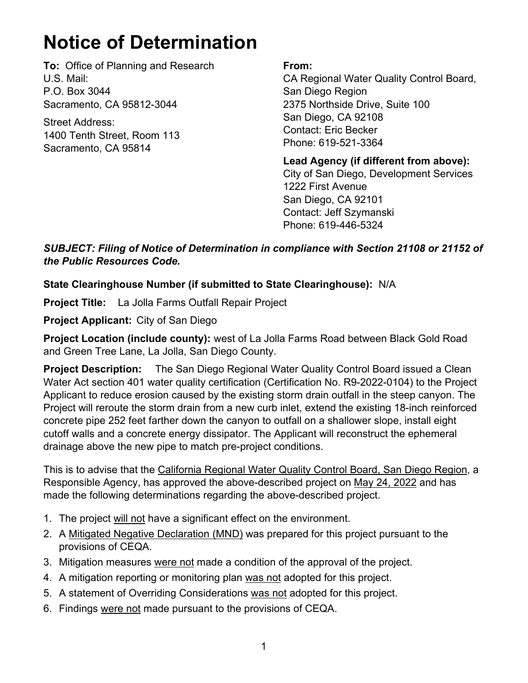## **Notice of Determination**

**To:** Office of Planning and Research U.S. Mail: P.O. Box 3044 Sacramento, CA 95812-3044

Street Address: 1400 Tenth Street, Room 113 Sacramento, CA 95814

## **From:**

CA Regional Water Quality Control Board, San Diego Region 2375 Northside Drive, Suite 100 San Diego, CA 92108 Contact: Eric Becker Phone: 619-521-3364

**Lead Agency (if different from above):** City of San Diego, Development Services 1222 First Avenue San Diego, CA 92101 Contact: Jeff Szymanski Phone: 619-446-5324

*SUBJECT: Filing of Notice of Determination in compliance with Section 21108 or 21152 of the Public Resources Code.*

## **State Clearinghouse Number (if submitted to State Clearinghouse):** N/A

**Project Title:** La Jolla Farms Outfall Repair Project

**Project Applicant:** City of San Diego

**Project Location (include county):** west of La Jolla Farms Road between Black Gold Road and Green Tree Lane, La Jolla, San Diego County.

**Project Description:** The San Diego Regional Water Quality Control Board issued a Clean Water Act section 401 water quality certification (Certification No. R9-2022-0104) to the Project Applicant to reduce erosion caused by the existing storm drain outfall in the steep canyon. The Project will reroute the storm drain from a new curb inlet, extend the existing 18-inch reinforced concrete pipe 252 feet farther down the canyon to outfall on a shallower slope, install eight cutoff walls and a concrete energy dissipator. The Applicant will reconstruct the ephemeral drainage above the new pipe to match pre-project conditions.

This is to advise that the California Regional Water Quality Control Board, San Diego Region, a Responsible Agency, has approved the above-described project on May 24, 2022 and has made the following determinations regarding the above-described project.

- 1. The project will not have a significant effect on the environment.
- 2. A Mitigated Negative Declaration (MND) was prepared for this project pursuant to the provisions of CEQA.
- 3. Mitigation measures were not made a condition of the approval of the project.
- 4. A mitigation reporting or monitoring plan was not adopted for this project.
- 5. A statement of Overriding Considerations was not adopted for this project.
- 6. Findings were not made pursuant to the provisions of CEQA.